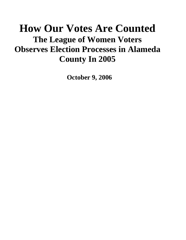# **How Our Votes Are Counted The League of Women Voters Observes Election Processes in Alameda County In 2005**

**October 9, 2006**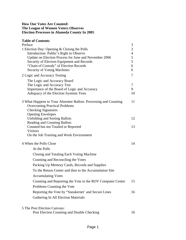# **How Our Votes Are Counted: The League of Women Voters Observes Election Processes in Alameda County In 2005**

# **Table of Contents**

| Preface                                                                    | $\mathfrak{Z}$ |
|----------------------------------------------------------------------------|----------------|
| 1 Election Day: Opening & Closing the Polls                                | $\overline{3}$ |
| Introduction: Public's Right to Observe                                    | $\overline{4}$ |
| Update on Election Process for June and November 2006                      | 5              |
| Security of Election Equipment and Records                                 | 5              |
| "Chain of Custody" of Election Records                                     | 6              |
| Security of Voting Machines                                                | 6              |
| 2 Logic and Accuracy Testing                                               | $\overline{7}$ |
| The Logic and Accuracy Board                                               |                |
| The Logic and Accuracy Test                                                | 7              |
| Importance of the Board of Logic and Accuracy                              | 9              |
| Adequacy of the Election Systems Tests                                     | 10             |
| 3 What Happens to Your Absentee Ballots: Processing and Counting           | 11             |
| <b>Overcoming Practical Problems</b>                                       |                |
| <b>Checking Signatures</b>                                                 |                |
| <b>Opening Envelopes</b>                                                   |                |
| <b>Unfolding and Sorting Ballots</b>                                       | 12             |
| <b>Reading and Counting Ballots</b><br>Counted but not Totaled or Reported | 13             |
| <b>Visitors</b>                                                            |                |
| On the Job Training and Work Environment                                   |                |
| 4 When the Polls Close                                                     | 14             |
| At the Polls                                                               |                |
| Closing and Totaling Each Voting Machine                                   |                |
| Counting and Reconciling the Votes                                         |                |
| Packing Up Memory Cards, Records and Supplies                              |                |
| To the Return Center and then to the Accumulation Site                     |                |
| <b>Accumulating Votes</b>                                                  |                |
| Counting and Reporting the Vote in the ROV Computer Center                 | 15             |
| Problems Counting the Vote                                                 |                |
| Reporting the Vote by "Sneakernet' and Secure Lines                        | 16             |
| Gathering In All Election Materials                                        |                |
|                                                                            |                |
| 5 The Post Election Canvass:<br>Post Election Counting and Double Checking | 16             |
|                                                                            |                |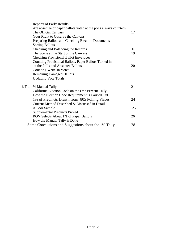| <b>Reports of Early Results</b>                                  |    |
|------------------------------------------------------------------|----|
| Are absentee or paper ballots voted at the polls always counted? |    |
| The Official Canvass                                             | 17 |
| Your Right to Observe the Canvass                                |    |
| Preparing Ballots and Checking Election Documents                |    |
| <b>Sorting Ballots</b>                                           |    |
| Checking and Balancing the Records                               | 18 |
| The Scene at the Start of the Canvass                            | 19 |
| <b>Checking Provisional Ballot Envelopes</b>                     |    |
| Counting Provisional Ballots, Paper Ballots Turned in            |    |
| at the Polls and Absentee Ballots                                | 20 |
| <b>Counting Write-In Votes</b>                                   |    |
| <b>Remaking Damaged Ballots</b>                                  |    |
| <b>Updating Vote Totals</b>                                      |    |
| 6 The 1% Manual Tally                                            | 21 |
| California Election Code on the One Percent Tally                |    |
| How the Election Code Requirement is Carried Out                 |    |
| 1% of Precincts Drawn from 805 Polling Places                    | 24 |
| Current Method Described & Discussed in Detail                   |    |
| A Poor Sample                                                    | 25 |
| <b>Supplemental Precincts Picked</b>                             |    |
| ROV Selects About 1% of Paper Ballots                            | 26 |
| How the Manual Tally is Done                                     |    |
| Some Conclusions and Suggestions about the 1% Tally              | 28 |
|                                                                  |    |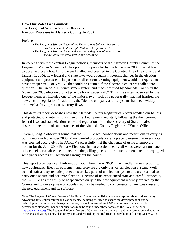#### **How Our Votes Get Counted: The League of Women Voters Observes Election Processes in Alameda County In 2005**

Preface

*• The League of Women Voters of the United States believes that voting is a fundamental citizen right that must be guaranteed. • The League of Women Voters believes that voting technologies must be secure, accurate, recountable and accessible.* 

In keeping with these central League policies, members of the Alameda County Council of the League of Women Voters took the opportunity provided by the November 2005 Special Election to observe closely how ballots were handled and counted in the County. They knew that, as of January 1, 2006, new federal and state laws would require important changes in the election equipment and processes—in particular, all electronic voting equipment would be required to have a "paper trail" or VVPAT that could be counted if the electronic count was called into question. The Diebold TS touch screen system and machines used by Alameda County in the November 2005 election did not provide for a "paper trail." Thus, the system observed by the League members included one of the major flaws—lack of a paper trail-- that had inspired the new election legislation. In addition, the Diebold company and its systems had been widely criticized as having serious security flaws.

This detailed report describes how the Alameda County Registrar of Voters handled our ballots and protected our vote using its then current equipment and staff, following the then current federal laws and state elections code and regulations from the Secretary of State. It also describes the protocols and practices of the Alameda County Registrar of Voters Office.

Overall, League observers found that the ACROV was conscientious and meticulous in carrying out its work in November 2005. Many careful protocols were in place to ensure that every vote was counted accurately. The ACROV successfully met the challenge of using a temporary system for the June 2006 Primary Election. In that election, nearly all votes were cast on paper ballots—either as absentee ballots or in the polling places—plus touch screen machines equipped with paper records at 8 locations throughout the county.

This report provides useful information about how the ACROV may handle future elections with new equipment. Election equipment and software are only part of an election system. Well trained staff and systematic procedures are key parts of an election system and are essential to carry out a secure and accurate election. Because of its experienced staff and careful protocols, the ACROV has the ability to adapt successfully to the new equipment recently ordered by the County and to develop new protocols that may be needed to compensate for any weaknesses of the new equipment and its software.

Note: The League of Women Voters of the United States has published excellent reports about and testimony advocating for election reform and voting rights, including the need to ensure the development of voting technologies that fully meet these goals through a much more serious R&D commitment, as well as clear performance standards. League publications may be found under these topics on the LWVUS website http://www.lwv.org. The League of Women Voters of California is also active in public information and advocacy in the areas of voting rights, election systems and related topics. Information may be found at http://ca.lwv.org.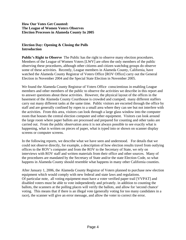#### **How Our Votes Get Counted: The League of Women Voters Observes Election Processes in Alameda County In 2005**

#### **Election Day: Opening & Closing the Polls Introduction**

**Public's Right to Observe** The Public has the right to observe many election procedures. Members of the League of Women Voters [LWV] are often the only members of the public observing these procedures, although other citizens and citizen watchdog groups do observe some of these activities. Recently, League members in Alameda County, California, have watched the Alameda County Registrar of Voters Office [ROV Office] carry out the General Election in November 2004 and the Special State Election in November 2005.

We found the Alameda County Registrar of Voters Office conscientious in enabling League members and other members of the public to observe the activities we describe in this report and to answer questions about these activities. However, the physical layout of the offices in the basement of the Alameda County Courthouse is crowded and cramped; many different staffers carry out many different tasks at the same time. Public visitors are escorted through the office by staff and are generally confined by ropes to a small area where they can see but not interfere with the activities. From this area, visitors can look through a large glass window into the computer room that houses the central election computer and other equipment. Visitors can look around the large room where paper ballots are processed and prepared for counting and other tasks are carried out. From the public observation area it is not always possible to see exactly what is happening, what is written on pieces of paper, what is typed into or shown on scanner display screens or computer screens.

In the following reports, we describe what we have seen and understood. For details that we could not observe directly, for example, a description of how election results travel from outlying offices to the ROV's computer and from the ROV to the Secretary of State, we rely on interviews with ROV staff and written materials from their office and other sources. Many of the procedures are mandated by the Secretary of State and/or the state Election Code, so what happens in Alameda County should resemble what happens in many other California counties.

After January 1, 2006, the Alameda County Registrar of Voters planned to purchase new election equipment which would comply with new federal and state laws and regulations. Of particular note, all voting equipment must have a voter verified paper trail [VVPAT] and disabled voters must be able to vote independently and privately. in addition to counting the ballots, the scanners at the polling places will verify the ballots, and allow for 'second chance' voting. This means that if there is an illegal vote (generally voting for too many candidates in a race), the scanner will give an error message, and allow the voter to correct the error.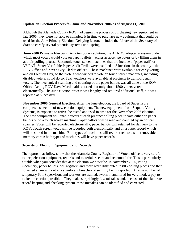### **Update on Election Process for June and November 2006 as of August 11, 2006:**

Although the Alameda County ROV had begun the process of purchasing new equipment in late 2005, they were not able to complete it in time to purchase new equipment that could be used for the June Primary Election. Delaying factors included the failure of the Secretary of State to certify several potential systems until spring.

**June 2006 Primary Election:** As a temporary solution, the ACROV adopted a system under which most voters would vote on paper ballots—either as absentee voters or by filling them in at their polling places. Electronic touch screen machines that did include a "paper trail" or VVPAT--Voter Verifiable Paper Audit Trail--were installed at 8 locations in the county—the ROV Office and seven City Clerks' offices. These machines were available for early voting and on Election Day, so that voters who wished to vote on touch screen machines, including disabled voters, could do so. Taxi vouchers were available at precincts to transport such voters. The mechanical scanning and counting of the paper ballots was all done at the ROV Office. Acting ROV Dave Macdonald reported that only about 1500 voters voted electronically. The June election process was lengthy and required additional staff, but was reported as successful.

**November 2006 General Election:** After the June election, the Board of Supervisors completed selection of new election equipment. The new equipment, from Sequoia Voting Systems, is expected to arrive, be tested and used in time for the November 2006 election. The new equipment will enable voters at each precinct polling place to vote either on paper ballots or on a touch screen machine. Paper ballots will be read and counted by an optical scanner. Votes will be recorded electronically; paper ballots will retained for delivery to the ROV. Touch screen votes will be recorded both electronically and on a paper record which will be stored in the machine. Both types of machines will record their totals on removable memory cards; both types of machines will have paper records.

#### **Security of Election Equipment and Records**

The reports that follow show that the Alameda County Registrar of Voters office is very careful to keep election equipment, records and materials secure and accounted for. This is particularly notable when you consider that at the election we describe, in November 2005, voting machinery, paper ballots, poll registers and more were distributed to 805 polling places and then collected again without any significant breaches of security being reported. A large number of temporary Poll Supervisors and workers are trained, sworn in and hired for very modest pay to make the election possible. They make surprisingly few mistakes and, because of the elaborate record keeping and checking system, these mistakes can be identified and corrected.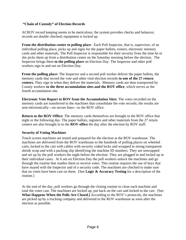## **"Chain of Custody" of Election Records**

ACROV record keeping seems to be meticulous; the system provides checks and balances; records are double checked; equipment is locked up.

**From the distribution center to polling place**: Each Poll Inspector, that is, supervisor, of an individual polling place, picks up and signs for the paper ballots, rosters, electronic memory cards and other materials. The Poll Inspector is responsible for their security from the time he or she picks them up from a distribution center on the Saturday morning before the election. The Inspector brings them **to the polling place** on Election Day. The Inspector and other poll workers sign in and out on Election Day.

**From the polling place:** The Inspector and a second poll worker deliver the paper ballots, the memory cards that record the vote and other vital election records **to one of the 27 return centers.** They sign in when they deliver the materials. Memory cards are then transported by County workers **to the three accumulation sites and the ROV office**, which serves as the fourth accumulation site.

**Electronic Vote Report to ROV from the Accumulation Sites:** The votes recorded on the memory cards are transferred to the machines that consolidate the vote records; the results are sent electronically—on secure lines—to the ROV office.

**Return to the ROV Office:** The memory cards themselves are brought to the ROV office that night or the following day. The paper ballots, registers and other materials from the 27 return centers are also brought in to the **ROV office** the day after the election by ROV staff.

#### **Security of Voting Machines**

Touch screen machines are tested and prepared for the election at the ROV warehouse. The machines are delivered from the ROV warehouse to the hundreds of polling places on wheeled carts, locked to the cart with cables with security coded locks and wrapped in strong transparent shrink wrap and with a packing slip identifying the machine ID numbers. They are unwrapped and set up by the poll workers the night before the election. They are plugged in and locked up in their individual cases. At 6 am on Election Day the poll workers unlock the machines and go through the routine that readies them to receive votes. This routine requires the use of keys that have stayed with the Inspector and of a security code. The machines are checked to make sure that no votes have been cast on them. [See **Logic & Accuracy Testing** for a description of the routine.]

At the end of the day, poll workers go through the closing routine to close each machine and total the votes cast. The machines are locked up, put back on the cart and locked to the cart. [See **What Happens When the Polls Are Closed.]** According to the ROV's protocols, the machines are picked up by a trucking company and delivered to the ROV warehouse as soon after the election as possible.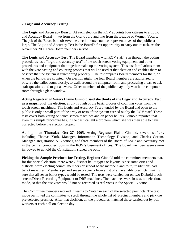#### 2 **Logic and Accuracy Testing**

**The Logic and Accuracy Board** At each election the ROV appoints four citizens to a Logic and Accuracy Board —two from the Grand Jury and two from the League of Women Voters. The job of the Board is to observe the election vote count as representatives of the public at large. The Logic and Accuracy Test is the Board's first opportunity to carry out its task. At the November 2005 three Board members served.

**The Logic and Accuracy Test** The Board members, with ROV staff, run through the voting procedures as a "logic and accuracy test" of the touch screen voting equipment and other procedures and equipment that together make up the voting system. This test familiarizes them with the vote casting and counting process that will be used at that election and enables them to observe that the system is functioning properly. The test prepares Board members for their job when the ballots are counted. On election night, the four Board members are authorized to observe the ballot count closely, to walk around the computer room and processing areas, to ask staff questions and to get answers. Other members of the public may only watch the computer room through a glass window.

**Acting Registrar of Voters Elaine Ginnold said she thinks of the Logic and Accuracy Test as a snapshot of the election**, a run-through of the basic process of counting votes from the touch screen machines. The Logic and Accuracy Test attended by the Board and open to the public is only a small part of the array of tests of the system carried out by the ROV staff. These tests cover both voting on touch screen machines and on paper ballots. Ginnold reported that even this simple procedure has, in the past, caught a problem which she was then able to have corrected before the election proper.

**At 4 pm on Thursday, Oct 27, 2005,** Acting Registrar Elaine Ginnold, several staffers, including Thomas York, Manager, Information Technology Division, and Charles Corum, Manager, Registration & Elections, and three members of the Board of Logic and Accuracy met in the central computer room in the ROV's basement offices**.** The Board members were sworn in, vowed to uphold the Constitution, signed the oath.

**Picking the Sample Precincts for Testing.** Registrar Ginnold told the committee members that, for this special election, there were 7 distinct ballot types or layouts, since some cities and districts were electing council members or school board members and four jurisdictions had ballot measures. Members picked seven precincts from a list of all available precincts, making sure that all seven ballot types would be tested. The tests were carried out on two Diebold touch screen/Direct Recording Equipment or DRE machines. The machines were in test, not election, mode, so that the test votes would not be recorded as real votes in the Special Election.

The Committee members worked in teams to "vote" in each of the selected precincts. The test mode permitted the committee to scroll through the whole list of precinct numbers and pick the pre-selected precinct. After that decision, all the procedures matched those carried out by poll workers at each poll on election day.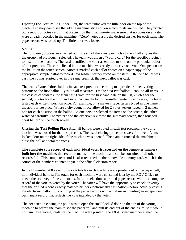**Opening the Test Polling Place** First, the team unlocked the little door on the top of the machine so they could see the adding machine style roll on which totals are printed. They printed out a report of votes cast in that precinct on that machine--to make sure that no votes on any item were already recorded in the machine. "Zero" votes cast is the desired answer for each item. The paper record was rolled up. The little door was locked.

## **Voting**

The following process was carried out for each of the 7 test precincts of the 7 ballot types that the group had previously selected. The team was given a "voting card" for the specific precinct to insert in the machine. The card identified the voter as entitled to vote on the particular ballot of that precinct. The card clicked in; the machine was ready to receive one vote. One person cast the ballot on the touch screen. Another marked each ballot choice on a paper copy of the appropriate sample ballot to record how his/her partner voted on the item. After one ballot was cast, the voting started over in the same precinct; the next ballot was cast.

The teams "voted" three ballots in each test precinct according to a pre-determined voting pattern: on the first ballot—'yes' on all measures. On the next two ballots—'no' on all items. In the case of candidates, the team cast 1 vote for the first candidate on the list, 2 votes for the second, 3 votes for the third and so on. Where the ballot permitted write in candidates, the team tested each write-in position once. For example, on a mayor's race, testers typed in one name in the appropriate place. Where a city council race allowed for 2 votes, testers typed in 2 names, one for each position on the ballot. As one person selected the items on the screen, the other watched carefully. The "voter" and the observer reviewed the summary screen, then touched "cast ballot" on the touch screen.

**Closing the Test Polling Place** After all ballots were voted in each test precinct, the voting machine was closed for that test precinct. The usual closing procedures were followed. A small locked door on the right side of the machine was opened. The team instructed the machine to close the poll and total the votes.

**The complete vote record of each individual voter is recorded on the computer memory built into the machine**; this record remains in the machine and can be consulted if all other records fail. This complete record is also recorded on the removable memory card, which is the source of the numbers counted to yield the official election report.

In the November 2005 election vote totals for each machine were printed out on the paper roll, not individual ballots. The totals for each machine were consulted later by the ROV Office to check the accuracy of the vote totals. In future elections a printed paper record will be a complete record of the vote as voted by the voter. The voter will have the opportunity to check or verify that the printed record exactly matches his/her electronically cast ballot—before actually casting the electronic ballot. So counting of the paper records will actual mean counting an independent permanent record that reflects the vote intended by the voter.

The next step in closing the polls was to open the small locked door on the top of the voting machine to permit the team to see the paper roll and pull its end out of the enclosure, so it would not jam. The voting totals for the machine were printed. The L&A Board member signed the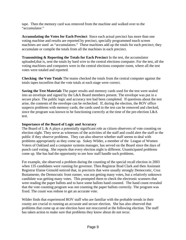tape. Then the memory card was removed from the machine and walked over to the "accumulator."

**Accumulating the Votes for Each Precinct** Since each actual precinct has more than one voting machine and results are reported by precinct, specially programmed touch screen machines are used as "accumulators." These machines add up the totals for each precinct; they accumulate or compile the totals from all the machines in each precinct.

**Transmitting & Reporting the Totals for Each Precinct** In the test, the accumulator uploaded,that is, sent the totals by hard wire to the central elections computer. For the test, all the voting machines and computers were in the central elections computer room, where all the test votes were totaled and reported.

**Checking the Vote Totals** The teams checked the totals from the central computer against the totals tapes toconfirm that the vote totals at each stage were correct.

**Saving the Test Materials** The paper results and memory cards used for the test were sealed into an envelope and signed by the L&A Board members present. The envelope was put in a secure place. The public logic and accuracy test had been completed. If questions about the test arise, the contents of the envelope can be rechecked. If, during the election, the ROV office suspects problems with memory cards, the cards used in the test can be removed and checked, since the program was known to be functioning correctly at the time of the pre-election L&A test.

#### **Importance of the Board of Logic and Accuracy**

The Board of L & A plays a potentially significant role as citizen observers of vote counting on election night. They serve as witnesses of the activities of the staff and could alert the staff or the public if they observe problems. They can also observe whether staff seems to deal with problems appropriately as they come up. Sukey Wilder, a member of the League of Women Voters of Oakland and a computer systems manager, has served on the Board since the days of punch card voting. She reports that every election night is different. Unanticipated problems come up. She has had the opportunity to see how staff handle such problems.

For example, she observed a problem during the counting of the special recall election in 2003 when 135 candidates were running for governor. Then Registrar Brad Clark and then Assistant Registrar Elaine Ginnold noticed that, in precincts that were usually strongly Democratic, Cruz Bustamente, the Democratic front runner, was not getting many votes, but a relatively unknown candidate was getting many votes. This prompted them to check the electronic scanners that were reading the paper ballots and to have some ballots hand counted. The hand count revealed that the vote counting program was not counting the paper ballots correctly. The program was fixed. The count was redone to get an accurate vote.

Wilder finds that experienced ROV staff who are familiar with the probable trends in their county are crucial to running an accurate and secure election. She has also observed that problems that come up at one election have not reoccurred at the following election. The staff has taken action to make sure that problems they know about do not recur.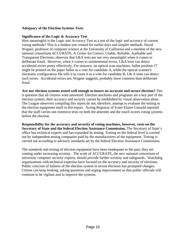#### **Adequacy of the Election Systems Tests**

before the election.

#### **Significance of the Logic & Accuracy Test**

How meaningful is the Logic and Accuracy Test as a test of the logic and accuracy of current voting methods? This is a modest test created for earlier days and simpler methods. David Wagner, professor of computer science at the University of California and a member of the new national consortium ACCURATE, A Center for Correct, Usable, Reliable, Auditable and Transparent Elections, observes that L&A tests are not very meaningful when it comes to deliberate fraud. However, when it comes to unintentional errors, L&A tests can detect accidental errors pretty effectively. For instance, on optical scan machines, ballot position 17 might be printed on the paper ballot as a vote for candidate A, while the optical scanner's electronic configuration file tells it to count it as a vote for candidate B. L& A tests can detect such errors. Accidental errors are, Wagner suggests, probably more common than deliberate fraud.

**Are our election systems tested well enough to insure an accurate and secure election?** This is question that all citizens want answered. Election machines and programs are a key part of the election system; their accuracy and security cannot be established by visual observation alone. The League observers compiling this report do not, therefore, attempt to evaluate the testing or the election equipment itself in this report. Acting Registrar of Voter Elaine Ginnold reported that the staff carries out extensive tests on both the absentee and the touch screen voting systems

**Responsibility for the accuracy and security of voting machines, however, rests on the Secretary of State and the federal Election Assistance Commission.** The Secretary of State's office has technical experts and has expanded its testing. Testing on the federal level is carried out by independent testing companies paid by the manufacturers of the equipment. Testing is carried out according to advisory standards set by the federal Election Assistance Commission.

The standards and testing of election equipment have been inadequate in the past; they are coming under increasing scrutiny. The work of ACCURATE, the new national consortium of university computer security experts, should provide further scrutiny and safeguards. Watchdog organizations with technical expertise have focused on the accuracy and security of elections. Public criticism of failures of the election system in recent elections has prompted changes. Citizen can keep looking, asking questions and urging improvement so that public officials will continue to be vigilant and to improve the systems.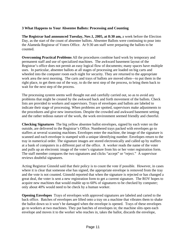## **3 What Happens to Your Absentee Ballots: Processing and Counting**

**The Registrar had announced Tuesday, Nov.1, 2005, at 8:30 am,** a week before the Election Day, as the start of the count of absentee ballots. Absentee Ballots were continuing to pour into the Alameda Registrar of Voters Office. At 9:30 am staff were preparing the ballots to be counted.

**Overcoming Practical Problems** All the procedures combine hard work by temporary and permanent staff and use of specialized machines. The awkward basement layout of the Registrar's office does not permit an easy logical flow of documents; many spaces have multiple uses. In particular, absentee ballots at all stages of processing are loaded on big carts and wheeled into the computer room each night for security. They are returned to the appropriate work area the next morning. The carts and trays of ballots are moved often—to put them in the right place, to get them out of the way, to do the next step of the process, to bring them back to wait for the next step of the process.

The processing system seems well thought out and carefully carried out, so as to avoid any problems that might be created by the awkward back and forth movement of the ballots. Check lists are provided to workers and supervisors. Trays of envelopes and ballots are labeled to indicate their stage of processing. When problems are spotted, supervisors make adjustments to the procedures and give new instructions. Despite the crowded and awkward basement setting and the rather tedious nature of the work, the work environment seemed friendly and cheerful.

**Checking Signatures** The big yellow absentee ballot envelopes, signed by each voter on the outside, are delivered to the Registrar's Office. Numbered trays packed with envelopes go to staffers at several scanning machines. Envelopes enter the machine, the image of the signature is scanned and each envelope is stamped with a unique identifying number. Envelopes return to the tray in numerical order. The signature images are stored electronically and called up by staffers at a bank of computers in a different part of the office. A worker reads the name of the voter and pulls up an electronic image of the voter's signature from his or her voter registration form. The staff member compares the two signatures and clicks "accept" or "reject." A supervisor reviews doubtful signatures.

Acting Registrar Ginnold said that their policy is to count the vote if possible. However, in cases where it is clear that someone else has signed, the appropriate envelope is removed from the tray and the vote is not counted. Ginnold reported that when the signature is rejected or has changed a great deal, the voter is sent a new registration form to get a current signature. The ROV hopes to acquire new machines that would enable up to 60% of signatures to be checked by computer; only about 40% would need to be check by a human worker.

**Opening Envelopes** Trays of envelopes with approved signatures are labeled and carted to the back office. Batches of envelopes are lifted onto a tray on a machine that vibrates them to shake the ballot down so it won't be damaged when the envelope is opened. Trays of these envelopes go to workers at two machines. They put batches of envelopes in; the machine slits open each envelope and moves it to the worker who reaches in, takes the ballot, discards the envelope,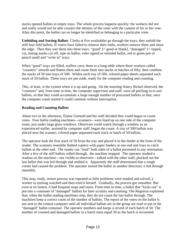stacks opened ballots in empty trays. The whole process happens quickly; the workers did not and really would not be able connect the identity of the voter with the content of his or her vote. After this point, the ballot can no longer be identified as belonging to a particular voter.

**Unfolding and Sorting Ballots** Clerks at five worktables go through the trays; they unfold the stiff four-fold ballots. If voters have failed to remove their stubs, workers remove them and clean the edge. Then they sort them into three trays: "good" [= good or blank], "damaged" [= ripped, cut, timing marks cut off, tape on ballot, voter signed or initialed ballot, red or green pen or pencil used] and "write in" trays.

When "good" trays are filled, staffers carry them to a long table where three workers called "counters" smooth and flatten them and count them into stacks or batches of fifty, then combine the stacks of 50 into trays of 500. Within each tray of 500, colored paper sheets separated each stack of 50 ballots. These trays are put aside, ready for the computer reading and counting.

This, at least, is the system when it is up and going. On the morning Nancy Bickel observed, the "counters" and, from time to time, the computer supervisor and staff, were all pitching in to sort ballots, so that they could accumulate a large enough number of processed ballots so that, once the computer count started it could continue without interruption.

## **Reading and Counting Ballots**

About two in the afternoon, Elaine Ginnold and her staff decided they could began to count votes. Four ballot reading machines—scanners-- were lined up on one side of the computer room, just under large glass windows. Observers could watch through a window as an experienced staffer, assisted by computer staff, began the count. A tray of 500 ballots was placed near the scanner; colored paper separated each stack or batch of 50 ballots.

The operator took the first stack of 50 from the tray and placed it in the feeder at the front of the reader. The scanners resemble flatbed copiers with paper feeders at one end and trays to catch ballots at the other end. The reader can "read" both sides of a ballot presented in any orientation. After a few of the stiff ballots rolled through, the machine stopped. The operator studied a readout on the machine—not visible to observers—talked with the other staff, plucked out the last ballot that was fed through and studied it. Apparently the staff determined that a rough corner had caused the problem. The operator turned the ballot in another direction; it fed through smoothly.

This stop, study, restart process was repeated as little problems were studied and solved; a worker in training watched and then tried it herself. Gradually, the process got smoother. But even at its fastest, it had frequent stops and starts. From time to time, a ballot that "kicks out" is put into a container of "damaged" ballots for later scrutiny and counting. The Registrar explained that, when the ballot reading machines stop, they do not count the last ballot through. The machines keep a correct count of the number of ballots. The report of the votes on the ballot is not sent to the central computer until all individual ballots are in the group are read or put in the "damaged" ballot container. The operator numbers and keeps a record of each batch of 50. The number of counted and damaged ballots in a batch must equal 50 as the batch is recounted.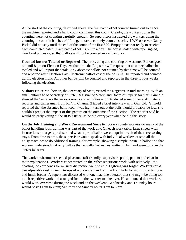At the start of the counting, described above, the first batch of 50 counted turned out to be 58; the machine reported and a hand count confirmed this count. Clearly, the workers doing the counting were not counting carefully enough. So supervisors instructed the workers doing the counting to count in batches of 10 to get more accurately counted stacks. LWV observer Nancy Bickel did not stay until the end of the count of the first 500. Empty boxes sat ready to receive each completed batch. Each batch of 500 is put in a box. The box is sealed with tape, signed, dated and put away, so that ballots will not be counted more than once.

**Counted but not Totaled or Reported** The processing and counting of Absentee Ballots goes on until 8 pm on Election Day. At that time the Registrar will request that absentee ballots be totaled and will report the totals. Any absentee ballots not counted by that time will be counted and reported after Election Day. Electronic ballots cast at the polls will be reported and counted during election night. All other ballots will be counted and reported in the three to four weeks following the election.

**Visitors** Bruce McPherson, the Secretary of State, visited the Registrar in mid-morning. With an small entourage of Secretary of State, Registrar of Voters and Board of Supervisor staff, Ginnold showed the Secretary the various rooms and activities and introduced some of her staff. Later a reporter and cameraman from KTVU Channel 2 taped a brief interview with Ginnold. Ginnold reported that the absentee ballot count was high; turn out at the polls would probably be low; she couldn't predict the impact of this pattern on the outcome of the election. The reporter said he would do early voting at the ROV Office, as he did every year when he did this story.

**On the Job Training and Work Environment** Since temporary county workers do many of the ballot handling jobs, training was part of the work day. On each work table, large sheets with instructions in large type described what types of ballot were to go into each of the three sorting trays. From time to time, the supervisor would speak with individual workers or stop all the noisy machines to do additional training, for example, showing a sample "write in ballot," so that workers understood that only ballots that actually had names written in by hand were to go in the "write in" trays.

The work environment seemed pleasant, staff friendly, supervisors polite, patient and clear in their explanations. Workers concentrated on the rather repetitious work, with relatively little chatting; no earphones for musical distraction were visible. Lighting was bright. Workers could use adjustable desk chairs. Groups of workers left and returned regularly for morning, afternoon and lunch breaks. A supervisor discussed with one machine operator that she might be doing too much repetitive work and arranged for another worker to take over. He announced that workers would work overtime during the week and on the weekend. Wednesday and Thursday hours would be 8:30 am to 7 pm; Saturday and Sunday hours 9 am to 3 pm.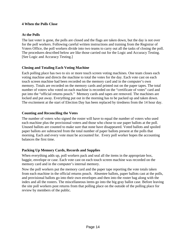#### **4 When the Polls Close**

#### **At the Polls**

The last voter is gone, the polls are closed and the flags are taken down, but the day is not over for the poll workers. Following careful written instructions and training from the Registrar of Voters Office, the poll workers divide into two teams to carry out all the tasks of closing the poll. The procedures described below are like those carried out for the Logic and Accuracy Testing. [See Logic and Accuracy Testing.]

#### **Closing and Totaling Each Voting Machine**

Each polling place has two to six or more touch screen voting machines. One team closes each voting machine and directs the machine to total the votes for the day. Each vote cast on each touch screen machine had been recorded on the memory card and in the computer's own memory. Totals are recorded on the memory cards and printed out on the paper tapes. The total number of voters who voted on each machine is recorded on the "certificate of votes" card and put into the "official returns pouch." Memory cards and tapes are removed. The machines are locked and put away. Everything put out in the morning has to be packed up and taken down. The excitement at the start of Election Day has been replaced by tiredness from the 14 hour day.

#### **Counting and Reconciling the Votes**

The number of voters who signed the roster will have to equal the number of voters who used each machine plus the provisional voters and those who chose to use paper ballots at the poll. Unused ballots are counted to make sure that none have disappeared. Voted ballots and spoiled paper ballots are subtracted from the total number of paper ballots present at the polls that morning. Each and every vote must be accounted for. Every poll worker hopes the accounting balances the first time.

## **Packing Up Memory Cards, Records and Supplies**

When everything adds up, poll workers pack and seal all the items in the appropriate box, baggie, envelope or case. Each vote cast on each touch screen machine was recorded on the memory card and in the computer's internal memory.

Now the poll workers put the memory card and the paper tape reporting the vote totals taken from each machine in the official returns pouch. Absentee ballots, paper ballots cast at the polls, and provisional ballots go into their own envelopes and then into the roster bag along with the index and all the rosters. The miscellaneous items go into the big gray ballot case. Before leaving the site poll workers post returns from that polling place on the outside of the polling place for review by members of the public.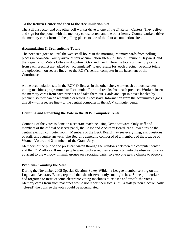## **To the Return Center and then to the Accumulation Site**

The Poll Inspector and one other poll worker drive to one of the 27 Return Centers. They deliver and sign for the pouch with the memory cards, rosters and the other items. County workers drive the memory cards from all the polling places to one of the four accumulation sites.

### **Accumulating & Transmitting Totals**

The next step goes on until the wee small hours in the morning. Memory cards from polling places in Alameda County arrive at four accumulation sites-- in Dublin, Fremont, Hayward, and the Registrar of Voters Office in downtown Oakland itself. Here the totals on memory cards from each precinct are added or "accumulated" to get results for each precinct. Precinct totals are uploaded—on secure lines-- to the ROV's central computer in the basement of the Courthouse.

At the accumulation site in the ROV Office, as in the other sites, workers sit at touch screen voting machines programmed to "accumulate" or total results from each precinct. Workers insert the memory cards from each precinct and take them out. Cards are kept in boxes labeled by precinct, so they can be recounted or tested if necessary. Information from the accumultors goes directly—on a secure line-- to the central computer in the ROV computer center.

## **Counting and Reporting the Vote in the ROV Computer Center**

Counting of the votes is done on a separate machine using Gems software. Only staff and members of the official observer panel, the Logic and Accuracy Board, are allowed inside the central election computer room. Members of the L&A Board may see everything, ask questions of staff, and require answers. The Board is generally composed of 2 members of the League of Women Voters and 2 members of the Grand Jury.

Members of the public and press can watch through the windows between the computer center and the ROV offices. If many people want to observe, they are escorted into the observation area adjacent to the window in small groups on a rotating basis, so everyone gets a chance to observe.

#### **Problems Counting the Vote**

During the November 2005 Special Election, Sukey Wilder, a League member serving on the Logic and Accuracy Board, reported that she observed only small glitches. Some poll workers had forgotten to instruct some electronic voting machines to "close" and "total" the votes. Memory cards from such machines would not report their totals until a staff person electronically "closed" the polls so the votes could be accumulated.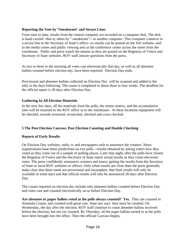## **Reporting the Vote by "Sneakernet' and Secure Lines**

From time to time, results from the central computer are recorded on a computer disk. The disk is hand carried –that is, taken by " sneakernet"-- to another computer. This computer connects to a secure line to the Secretary of State's office--so results can be posted on the SoS website--and to the media center and public viewing area at the conference center across the street from the courthouse. Public and press watch the returns as they are posted on the Registrar of Voters and Secretary of State websites. ROV staff answer questions from the press.

At two or three in the morning all votes cast electronically that day, as well as all absentee ballots counted before election day, have been reported. Election Day ends.

Provisional and absentee ballots collected on Election Day will be scanned and added to the tally in the days following. The count is completed in about three to four weeks. The deadline for the official report is 28 days after Election Day.

#### **Gathering In All Election Materials**

In the next few days, all the materials from the polls, the return centers, and the accumulation sites will be returned to the ROV office or to the warehouse. At these locations equipment will be checked, records reviewed, reconciled, checked and cross checked.

## **5 The Post Election Canvass: Post Election Counting and Double Checking**

#### **Reports of Early Results**

On Election Day websites, radio, tv and newspapers rush to announce the winners. News organizations base these predictions on exit polls—results obtained by asking voters how they voted as they come out of a sample of polling places. Later that night, after the polls have closed, the Registrar of Voters and the Secretary of State report actual results as they count electronic votes. The press confidently announces winners and losers, getting the results from the Secretary of State or local ROV websites or offices. Only when results are close does the press generally make clear that these totals are provisional and incomplete, that final results will only be available in some days and that official results will only be announced 28 days after Election Day.

The counts reported on election day include only absentee ballots counted before Election Day and votes cast and counted electronically on or before Election Day.

**Are absentee or paper ballots voted at the polls always counted? Yes**. They are counted in Alameda County and counted with great care. State law says they must be counted. On Wednesday, the day after the election, ROV staff continue to count absentee ballots received before the election, but not yet counted. By Thursday, all the paper ballots turned in at the polls have been brought into the office. Then the official Canvass begins.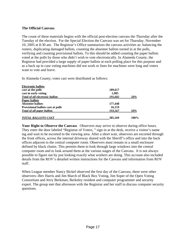#### **The Official Canvass**

The count of these materials begins with the official post-election canvass the Thursday after the Tuesday of the election. For the Special Election the Canvass was set for Thursday, November 10, 2005 at 8:30 am. The Registrar's Office summarizes the canvass activities as: balancing the rosters, duplicating damaged ballots, counting the absentee ballots turned in at the polls, verifying and counting provisional ballots. To this should be added counting the paper ballots voted at the polls by those who didn't wish to vote electronically. In Alameda County, the Registrar had provided a large supply of paper ballots at each polling place for this purpose and as a back up in case voting machines did not work or lines for machines were long and voters want to vote and leave.

In Alameda County, votes cast were distributed as follows:

| <b>Electronic ballots</b>              |         |      |
|----------------------------------------|---------|------|
| cast at the polls                      | 189,617 |      |
| cast in early voting                   | 1,985   |      |
| <b>Total of all electronic ballots</b> | 191,602 | 50%  |
| <b>Paper ballots</b>                   |         |      |
| Absentee ballots                       | 177,448 |      |
| Provisional ballots cast at polls      | 16,119  |      |
| <b>Total of all paper ballots</b>      | 193,567 | 50%  |
| <b>TOTAL BALLOTS CAST</b>              | 385,169 | 100% |

**Your Right to Observe the Canvass** Observers may arrive to observe during office hours. They enter the door labeled "Registrar of Voters, " sign in at the desk, receive a visitor's name tag and wait to be escorted to the viewing area. After a short wait, observers are escorted through the front offices, across the internal driveway shared with the Sheriff's office and into the back offices adjacent to the central computer room. Observers must remain in a small enclosure defined by black chains. This permits them to look through large windows into the central computer room and to look around them at the various stages of the Canvass. It is not always possible to figure out by just looking exactly what workers are doing. This account also included details from the ROV's detailed written instructions for the Canvass and information from ROV staff.

When League member Nancy Bickel observed the first day of the Canvass, there were other observers--Bev Harris and Jim March of Black Box Voting, Jim Soper of the Open Voting Consortium and Jerry Berkman, Berkeley resident and computer programmer and security expert. The group met that afternoon with the Registrar and her staff to discuss computer security questions.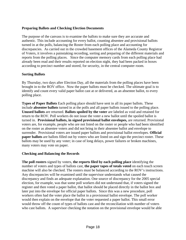## **Preparing Ballots and Checking Election Documents**

The purpose of the canvass is to examine the ballots to make sure they are accurate and authentic. This include accounting for every ballot, counting absentee and provisional ballots turned in at the polls, balancing the Roster from each polling place and accounting for discrepancies. As carried out in the crowded basement offices of the Alameda County Registrar of Voters, it involves a painstaking recording, sorting and preparing of the different materials and reports from the polling places. Since the computer memory cards from each polling place had already been read and their results reported on election night, they had been packed in boxes according to precinct number and stored, for security, in the central computer room.

#### **Sorting Ballots**

By Thursday, two days after Election Day, all the materials from the polling places have been brought in to the ROV office. Now the paper ballots must be checked. The ultimate goal is to identify and count every valid paper ballot cast at or delivered, as an absentee ballot, to every polling place.

**Types of Paper Ballots** Each polling place should have sent in all its paper ballots. These include **absentee ballots** turned in at the polls and all paper ballots issued to the polling place. **Unused ballots** are returned. **Ballots spoiled by the voter** are labeled as void and retained for return to the ROV. Poll workers do not issue the voter a new ballot until the spoiled ballot is turned in. **Provisional ballots, in signed provisional ballot envelopes,** are returned. Provisional voters are, for example, people who are not listed on the roster or people who had been identified on the roster as absentee voters and did not bring in their absentee ballot and envelope to surrender. Provisional voters are issued paper ballots and provisional ballot envelopes. **Official paper ballots** are ballots filled out by voters who are listed on and sign the precinct roster. These ballots may be used by any voter; in case of long delays, power failures or broken machines, many voters may vote on paper.

#### **Checking and Balancing the Records**

**The poll rosters** signed by voters, **the reports filed by each polling place** identifying the number of voters and types of ballots cast, **the paper tapes of totals voted** on each touch screen machine will also be checked. The rosters must be balanced according to the ROV's instructions. Any discrepancies will be examined until the supervisor understands what caused the discrepancy and finds an adequate explanation. One source of discrepancy for the 2005 special election, for example, was that some poll workers did not understand that, if voters signed the register and then voted a paper ballot, that ballot should be placed directly in the ballot box and later put into the envelope for official paper ballots. Since this was a new procedure, poll workers often had the voter place the ballot in a provisional ballot envelope. The poll worker would then explain on the envelope that the voter requested a paper ballot. This small error would throw off the count of types of ballots cast and the reconciliation with number of voters who cast ballots. A supervisor checking the notation on the provisional envelope would be able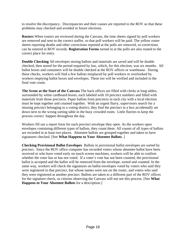to resolve the discrepancy. Discrepancies and their causes are reported to the ROV so that these problems may checked and avoided in future elections.

**Rosters** When rosters are reviewed during the Canvass, the time sheets signed by poll workers are removed and sent to the correct staffer, so that poll workers will be paid. The yellow roster sheets reporting deaths and other corrections reported at the polls are removed, so corrections can be entered in ROV records. **Registration Forms** turned in at the polls are also routed to the correct place for entry.

**Double Checking** All envelopes storing ballots and materials are saved and will be double checked, then stored for the period required by law, which, for this election, was six months. All ballot boxes and containers will be double checked at the ROV offices or warehouse. During these checks, workers will find a few ballots misplaced by poll workers or overlooked by workers emptying ballot boxes and envelopes. These too will be verified and included in the final vote count.

**The Scene at the Start of the Canvass** The back offices are filled with clerks at long tables, surrounded by white cardboard boxes, each labeled with 10 precinct numbers and filled with materials from those precincts. Paper ballots from precincts in each city with a local election must be kept together and counted together. With an urgent flurry, supervisors search for a missing precinct belonging to a voting district; they find the precinct in a box accidentally set down next to the wrong sorting table in the busy crowded room. Little flurries to keep the process correct happen throughout the day.

Workers fill out a report form for each precinct envelope they open. As the workers open envelopes containing different types of ballots, they count them. All counts of all types of ballots are recorded in at least two places. Absentee ballots are grouped together and taken to have signatures checked. [See **What Happens to Your Absentee Ballots**. ]

**Checking Provisional Ballot Envelopes** Ballots in provisional ballot envelopes are sorted by precinct. Since the ROV office computer has recorded voters whose absentee ballot have been received or who have voted early on touch screen machines, workers will be able to confirm whether the voter has or has not voted. If a voter's vote has not been counted, the provisional ballot is accepted and the ballot will be removed from the envelope, sorted and counted. In the same way, workers will check the signatures on ballot envelopes voted by voters who said they were registered in that precinct, but whose names were not on the roster, and voters who said they were registered at another precinct. Ballots are taken to a different part of the ROV offices for the signature check, so citizens observing the Canvass will not see this process. [See **What Happens to Your Absentee Ballots** for a description.]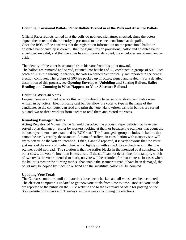#### **Counting Provisional Ballots, Paper Ballots Turned in at the Polls and Absentee Ballots**

Official Paper Ballots turned in at the polls do not need signatures checked, since the voters signed the roster and their identity is presumed to have been confirmed at the polls. Once the ROV office confirms that the registration information on the provisional ballot or absentee ballot envelop is correct, that the signatures on provisional ballot and absentee ballot envelopes are valid, and that the voter has not previously voted, the envelopes are opened and set aside.

The identity of the voter is separated from his vote from this point onward.

The ballots are removed and sorted, counted into batches of 50, combined in groups of 500. Each batch of 50 is run through a scanner, the votes recorded electronically and reported to the central election computer. The groups of 500 are packed up in boxes, signed and sealed. [ For a detailed description of this process, see **Opening Envelopes, Unfolding and Sorting Ballots, Ballot Reading and Counting** in **What Happens to Your Absentee Ballots.]** 

#### **Counting Write-In Votes**

League members did not observe this activity directly because no write-in candidates were written in by voters. Electronically cast ballots allow the voter to type in the name of the candidate, so the computer can read and print the vote. Handwritten write-in ballots are sorted out and two or three workers form a team to read them and record the votes.

#### **Remaking Damaged Ballots**

Acting Registrar of Voters Elaine Ginnold described the process. Paper ballots that have been sorted out as damaged—either by workers looking at them or because the scanners that count the ballots reject them—are examined by ROV staff. The "damaged" group includes all ballots that cannot be easily read by the scanner. A team of staffers, in consultation with a supervisor, will try to determine the voter's intention. Often, Ginnold reported, it is very obvious that the voter just marked the ovals of his/her choices too lightly or with a mark like a check or an x that the scanner could not read. The solution is that the staffer blacks in the intended oval completely. In other cases, the voter's intention is less clear. If the staff can not determine, for example, which of two ovals the voter intended to mark, no vote will be recorded for that contest. In cases where the ballot is torn or the "timing marks" that enable the scanner to read it have been damaged, the ballot may be copied by machine or hand and the substitute ballot will be counted.

#### **Updating Vote Totals**

The Canvass continues until all materials have been checked and all votes have been counted. The election computer is updated to get new vote totals from time to time. Revised vote totals are reported to the public on the ROV website and to the Secretary of State for posting on the SoS website on Fridays and Tuesdays in the 4 weeks following the elections.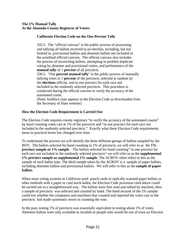## **California Election Code on the One Percent Tally**

335.5. The "official canvass" is the public process of processing and tallying all ballots received in an election, including, but not limited to, provisional ballots and absentee ballots not included in the semifinal official canvass. The official canvass also includes the process of reconciling ballots, attempting to prohibit duplicate voting by absentee and provisional voters, and performance of the **manual tally** of 1 **percent** of all precincts. 336.5. "One **percent manual tally**" is the public process of manually tallying votes in 1 **percent** of the precincts, selected at random by the **elections** official, and in one precinct for each race not included in the randomly selected precincts. This procedure is conducted during the official canvass to verify the accuracy of the automated count. [Note: boldface type appears in the Election Code as downloaded from the Secretary of State website]

#### **How the Election Code Requirement is Carried Out**

The Election Code requires county registrars "to verify the accuracy of the automated counts" by hand counting votes cast at 1% of the precincts and "in one precinct for each race not included in the randomly selected precincts." Exactly what these Election Code requirements mean in practical terms has changed over time.

To understand the process we will identify the three different groups of ballots sampled by the ROV. The ballots selected for hand counting in 1% of precincts, we will refer to as the **1% precinct sample or 1% sample**. The ballots selected for hand counting" in one precinct for each race not included in the randomly selected precincts" we will refer to as the **supplemental 1% precinct sample or supplemental 1% sample**. The ACROV often refers to this as the sample of each ballot type. The third sample taken by the ACROV is a sample of paper ballots, including absentee ballots and provisional ballots. We will refer to this as the **sample of paper ballots**.

When most voting systems in California used punch cards or optically scanned paper ballots or other methods with a paper or card stock ballot, the Election Code provision cited above could be carried out in a straightforward way. The ballots were first read and tallied by machine, then a sample of precincts was selected and counted by hand. The hand recount of the 1% sample could test whether the computers and machines that counted and reported the votes cast in the precincts had made systematic errors in counting the vote.

In the past, testing 1% of precincts was essentially equivalent to testing about 1% of votes. Absentee ballots were only available to invalids or people who would be out of town on Election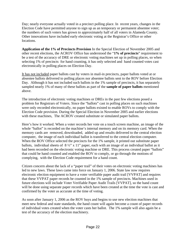Day; nearly everyone actually voted in a precinct polling place. In recent years, changes in the Election Code have permitted anyone to sign up as an temporary or permanent absentee voter; the numbers of such voters has grown to approximately half of all voters in Alameda County. Other innovations have included early electronic voting at the Registrar's Office or other locations.

**Application of the 1% of Precincts Provision** In the Special Election of November 2005 and other recent elections, the ACROV Office has understood the "**1% of precincts**" requirement to be a test of the accuracy of DRE or electronic voting machines set up in polling places, so when selecting 1% of precincts for hand counting, it has only selected and hand counted votes cast electronically in polling places on Election Day.

It has not included paper ballots cast by voters in mail-in precincts, paper ballots voted at or absentee ballots delivered to polling places nor absentee ballots sent to the ROV before Election Day. Although it has not included such ballots in the 1% sample of precincts, it has separately sampled nearly 1% of many of these ballots as part of the **sample of paper ballots** mentioned above.

The introduction of electronic voting machines or DREs in the past few elections posed a problem for Registrars of Voters. Since the "ballots" cast in polling places on such machines were only recorded electronically, no paper ballots existed to enable ROVs to comply with the Election Code provision. During the Special Election in November 2005 and earlier elections with these machines, The ACROV created substitute or simulated paper ballots.

Here's how it worked. When a voter records her vote on a touch screen machine, an image of the whole "ballot" is recorded on the machine's internal memory and on its memory card. When the memory cards are removed, downloaded, added up and results delivered to the central election computer, the image of each individual ballot is transferred to the central election computer. When the ROV Office selected the precincts for the 1% sample, it printed out substitute paper ballots, individual sheets of 8 ½" x 11" paper, each with an image of an individual ballot as it had been recorded on the electronic voting machine or DRE. This process created paper "ballots" that could be hand counted and enabled the ROV to comply, or go through the motions of complying, with the Election Code requirement for a hand count.

Citizen concern about the lack of a "paper trail" of their votes on electronic voting machines has led to new laws. These laws came into force on January 1, 2006. State law now requires electronic election equipment to have a voter verifiable paper audit trail [VVPAT] and requires that these VVPAT paper records be counted in the 1% sample of precincts. Machines used in future elections will include Voter Verifiable Paper Audit Trails [VVPAT], so the hand count will be done using separate paper records which have been created at the time the vote is cast and confirmed by the voter as accurate at the time of voting.

As soon after January 1, 2006 as the ROV buys and begins to use new election machines that meet new federal and state standards, the hand count will again become a count of paper records of individual votes created when the voter casts her ballot. The 1% sample will also again be a test of the accuracy of the election machinery.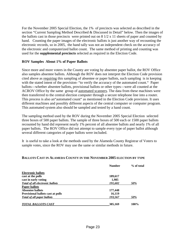For the November 2005 Special Election, the 1% of precincts was selected as described in the section "Current Sampling Method Described & Discussed in Detail" below. Then the images of the ballots cast in those precincts were printed out on 8 1/2 x 11 sheets of paper and counted by hand. Counting the paper images of the electronic ballots is just another way of recounting the electronic records, so in 2005, the hand tally was not an independent check on the accuracy of the electronic and computerized ballot count. The same method of printing and counting was used for the **supplemental precincts** selected as required in the Election Code.

#### **ROV Samples About 1% of Paper Ballots**

Since more and more voters in the County are voting by absentee paper ballot, the ROV Office also samples absentee ballots. Although the ROV does not interpret the Election Code provision cited above as requiring this sampling of absentee or paper ballots, such sampling is in keeping with the stated intent of the provision- "to verify the accuracy of the automated count." Paper ballots—whether absentee ballots, provisional ballots or other types—were all counted at the ACROV Office by the same group of automated scanners. The data from these machines were then transferred to the central election computer through a secure telephone line into a router. This process is also an "automated count" as mentioned in the Election Code provision. It uses different machines and possibly different aspects of the central computer or computer program. This automated system also should be sampled and tested by a hand count.

The sampling method used by the ROV during the November 2005 Special Election selected three boxes of 500 paper ballots. The sample of three boxes of 500 each or 1500 paper ballots recounted by hand did represent nearly 1% percent of all absentee ballots and nearly 1% of all paper ballots. The ROV Office did not attempt to sample every type of paper ballot although several different categories of paper ballots were included.

It is useful to take a look at the methods used by the Alameda County Registrar of Voters to sample votes, since the ROV may use the same or similar methods in future.

#### **BALLOTS CAST IN ALAMEDA COUNTY IN THE NOVEMBER 2005 ELECTION BY TYPE**

|                                          | <b>Number</b> | % of total |
|------------------------------------------|---------------|------------|
| <b>Electronic ballots</b>                |               |            |
| cast at the polls                        | 189,617       |            |
| cast in early voting                     | 1,985         |            |
| Total of all electronic ballots          | 191,602       | 50%        |
| <b>Paper ballots</b>                     |               |            |
| Absentee ballots                         | 177,448       |            |
| <b>Provisional ballots cast at polls</b> | 16,119        |            |
| <b>Total of all paper ballots</b>        | 193,567       | 50%        |
| <b>TOTAL BALLOTS CAST</b>                | 385,169       | 100%       |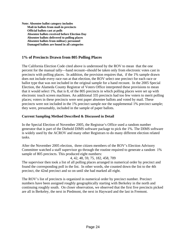**Note: Absentee ballot category includes Mail-in ballots from mail-in precincts Official ballots cast at polls Absentee ballots received before Election Day Absentee ballots delivered to polling places Absentee ballots from military personnel Damaged ballots are found in all categories** 

# **1% of Precincts Drawn from 805 Polling Places**

The California Election Code cited above is understood by the ROV to mean that the one percent for the manual tally—hand recount--should be taken only from electronic votes cast in precincts with polling places. In addition, the provision requires that, if the 1% sample drawn does not include every race run at that election, the ROV select one precinct for each race or ballot type that was not included in the original sample for a hand recount. In the 2005 Special Election, the Alameda County Registrar of Voters Office interpreted these provisions to mean that it would select 1%, that is 8, of the 805 precincts in which polling places were set up with electronic touch screen machines. An additional 335 precincts had too few voters to merit polling places; voters in these precincts were sent paper absentee ballots and voted by mail. These precincts were not included in the 1% precinct sample nor the supplemental 1% precinct sample; they were, presumably, included in the sample of paper ballots.

#### **Current Sampling Method Described & Discussed in Detail**

In the Special Election of November 2005, the Registrar's Office used a random number generator that is part of the Diebold DIMS software package to pick the 1%. The DIMS software is widely used by the ACROV and many other Registrars to do many different election related tasks.

After the November 2005 election, three citizen members of the ROV's Election Advisory Committee watched a staff supervisor go through the routine required to generate a random 1% sample of 805 precincts. This produced eight numbers:

4, 42, 48, 59, 75, 182, 458, 709

The supervisor then took a list of all polling places arranged in numerical order by precinct and found the corresponding poll in the list. In other words, she counted down the list to the 4th precinct, the 42nd precinct and so on until she had marked all eight.

The ROV's list of precincts is organized in numerical order by precinct number. Precinct numbers have been assigned roughly geographically starting with Berkeley in the north and continuing roughly south. On closer observation, we observed that the first five precincts picked are all in Berkeley, the next in Piedmont, the next in Hayward and the last in Fremont.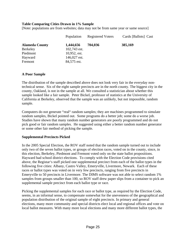#### **Table Comparing Cities Drawn in 1% Sample**

[Note: populations are from websites; data may not be from same year or same source]

|                       | Population      | <b>Registered Voters</b> | Cards [Ballots] Cast |
|-----------------------|-----------------|--------------------------|----------------------|
| <b>Alameda County</b> | 1,444,656       | 704,036                  | 385,169              |
| <b>Berkeley</b>       | 102,743 est.    |                          |                      |
| Piedmont              | $10,952$ , est. |                          |                      |
| Hayward               | 146,027 est.    |                          |                      |
| Fremont               | 84,575 est.     |                          |                      |

#### **A Poor Sample**

The distribution of the sample described above does not look very fair in the everyday nontechnical sense. Six of the eight sample precincts are in the north county. The biggest city in the county, Oakland, is not in the sample at all. We consulted a statistician about whether this sample looked like a fair sample. Peter Bickel, professor of statistics at the University of California at Berkeley, observed that the sample was an unlikely, but not impossible, random sample.

Computers do not generate "real" random samples; they are machines programmed to simulate random samples, Bickel pointed out. Some programs do a better job; some do a worse job. Studies have shown that many random number generators are poorly programmed and do not pick good or fair random samples. He suggested using either a better random number generator or some other fair method of picking the sample.

#### **Supplemental Precincts Picked**

In the 2005 Special Election, the ROV staff noted that the random sample turned out to include only two of the seven ballot types, or groups of election races, voted on in the county, since, in this election, Berkeley, Piedmont and Fremont voted only on the state ballot propositions. Hayward had school district elections. To comply with the Election Code provisions cited above, the Registar's staff picked one supplemental precinct from each of the ballot types in the following five cities: Albany, Castro Valley, Emeryville, Livermore, Newark. Each of these races or ballot types was voted on in very few precincts, ranging from five precincts in Emeryville to 50 precincts in Livermore. The DIMS software was not able to select random 1% samples from groups smaller than 100, so ROV staff drew paper slips from a container to pick an supplemental sample precinct from each ballot type or race.

Picking the supplemental samples for each race or ballot type, as required by the Election Code, seems, in an informal sense, to compensate somewhat for the unevenness of the geographical and population distribution of the original sample of eight precincts. In primary and general elections, many more community and special districts elect local and regional offices and vote on local ballot measures. With many more local elections and many more different ballot types, the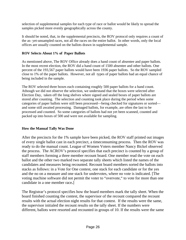selection of supplemental samples for each type of race or ballot would be likely to spread the samples picked more evenly geographically across the county.

It should be noted, that, in the supplemental precincts, the ROV protocol only requires a count of the as- yet-unsampled races, not all the races on the entire ballot. In other words, only the local offices are usually counted on the ballots drawn in supplemental sample.

# **ROV Selects About 1% of Paper Ballots**

As mentioned above, The ROV Office already does a hand count of absentee and paper ballots. In the most recent election, the ROV did a hand count of 1500 absentee and other ballots. One percent of the 193,567 paper ballots would have been 1936 paper ballots. So the ROV sampled close to 1% of the paper ballots. However, not all types of paper ballots had an equal chance of being included in the sample.

The ROV selected three boxes each containing roughly 500 paper ballots for a hand count. Athough we did not observe the selection, we understand that the boxes were selected after Election Day, taken off the long shelves where signed and sealed boxes of paper ballots are stored after counting. The selection and counting took place during the period when some categories of paper ballots were still been processed—being checked for signatures or sorted and some still awaited processing. Damaged ballots, for example, are often the last to be processed and counted. So some categories of ballots had not yet been scanned, counted and packed up into boxes of 500 and were not available for sampling.

# **How the Manual Tally Was Done**

After the precincts for the 1% sample have been picked, the ROV staff printed out images of every single ballot cast in each precinct, a timeconsuming process. Then the ROV was ready to do the manual count. League of Women Voters member Nancy Bickel observed the process. The ACROV's protocol specifies that each precinct is counted by a group of staff members forming a three member recount board. One member read the vote on each ballot and the other two marked two separate tally sheets which listed the names of the candidates and measures being recounted. Recount board members sorted the ballots into stacks as follows: in a Vote for One contest, one stack for each candidate or for the yes and the no on a measure and one stack for undervotes, where no vote is indicated. [The voting machine software did not permit the voter to "overvote," to vote for more than one candidate in a one member race**.**]

The Registrar's protocol specifies how the board members mark the tally sheet. When the board finished counting the contest, the supervisor of the recount compared the recount results with the actual election night results for that contest. If the results were the same, the supervisor initialed the recount results on the tally sheet. If the numbers were different, ballots were resorted and recounted in groups of 10. If the results were the same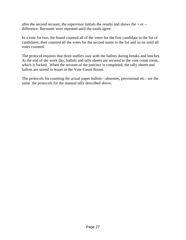after the second recount, the supervisor initials the results and shows the  $+$  or  $$ difference. Recounts were repeated until the totals agree.

In a vote for two, the board counted all of the votes for the first candidate in the list of candidates, then counted all the votes for the second name in the list and so on until all votes counted.

The protocol requires that three staffers stay with the ballots during breaks and lunches. At the end of the work day, ballots and tally sheets are secured in the vote count room, which is locked. When the recount of the precinct is completed, the tally sheets and ballots are stored in boxes in the Vote Count Room.

The protocols for counting the actual paper ballots—absentee, provisional etc.- are the same the protocols for the manual tally described above.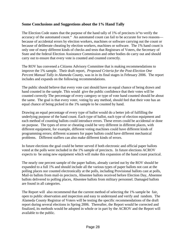## **Some Conclusions and Suggestions about the 1% Hand Tally**

The Election Code states that the purpose of the hand tally of 1% of precincts is"to verify the accuracy of the automated count." An automated count can fail to be accurate for two reasons because of accidental errors by election workers, machines or software carrying out the count or because of deliberate cheating by election workers, machines or software. The 1% hand count is only one of many different kinds of checks and tests that Registrars of Voters, the Secretary of State and the federal Election Assistance Commission and other bodies do carry out and should carry out to ensure that every vote is counted and counted correctly.

The ROV has convened a Citizens Advisory Committee that is making recommendations to improve the 1% sample. Their draft report, *Proposed Criteria for the Post-Election One Percent Manual Tally in Alameda County,* was in in its final stages in February 2006. The report includes and expands on the following recommendations.

The public should believe that every vote cast should have an equal chance of being drawn and hand counted in the sample. This would give the public confidence that their votes will be counted correctly The percentage of every category or type of vote hand counted should be about the same. The goal is that every voter, voting by any method, should feel that their vote has an equal chance of being picked in the 1% sample to be counted by hand.

Drawing an equal percentage of every type of ballot would do a better job of fulfilling the underlying purpose of the hand count. Each type of ballot, each type of election equipment and each method of counting ballots could introduce errors. These errors could be accidental or done on purpose. The types of error or cheating could be very different in different places, with different equipment, for example, different voting machines could have different kinds of programming errors; different scanners for paper ballots could have different mechanical problems. Different staffers can also make different kinds of errors.

In future elections the goal could be better served if both electronic and official paper ballots voted at the polls were included in the 1% sample of precincts. In future elections ACROV expects to be using new equipment which will make this expansion of the hand count practical.

The nearly one percent sample of the paper ballots, already carried out by the ROV should be expanded to a full 1% and should include all the various types of paper ballots not cast at the polling places nor counted electronically at the polls, including Provisional ballots cast at polls, Mail-in ballots from mail-in precincts, Absentee ballots received before Election Day, Absentee ballots delivered to polling places, Absentee ballots from military personnel. Damaged ballots are found in all categories.

The Report will also recommend that the current method of selecting the 1% sample be fair, open to public observation and inspection and easy to understand and verify and random. The Alameda County Registrar of Voters will be testing the specific recommendations of the draft report during several elections in Spring 2006. Thereafter, the Report would be corrected and finalized, its methods would be adopted in whole or in part by the ACROV and the Report will available to the public.